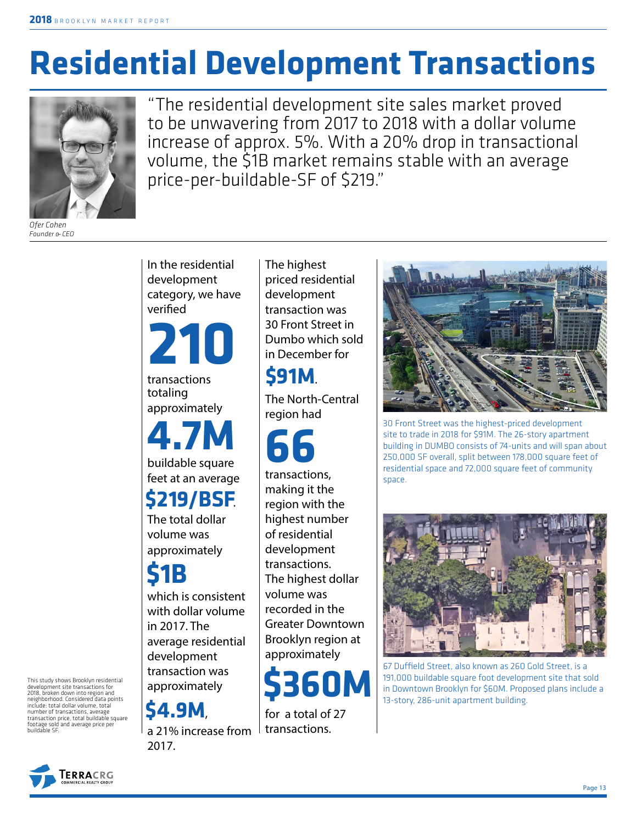# **Residential Development Transactions**



"The residential development site sales market proved to be unwavering from 2017 to 2018 with a dollar volume increase of approx. 5%. With a 20% drop in transactional volume, the \$1B market remains stable with an average price-per-buildable-SF of \$219."

*Ofer Cohen Founder & CEO*

In the residential development category, we have verified

**210**

transactions totaling approximately

buildable square **4.7M**

feet at an average

The total dollar volume was approximately **\$219/BSF**.

**\$1B**

which is consistent with dollar volume in 2017. The average residential development

transaction was approximately

**\$4.9M**,

a 21% increase from 2017.

The highest priced residential development transaction was 30 Front Street in Dumbo which sold in December for

## **\$91M**.

The North-Central region had

transactions, **66**

making it the region with the highest number of residential development transactions. The highest dollar volume was recorded in the Greater Downtown Brooklyn region at approximately



for a total of 27 transactions.



30 Front Street was the highest-priced development site to trade in 2018 for \$91M. The 26-story apartment building in DUMBO consists of 74-units and will span about 250,000 SF overall, split between 178,000 square feet of residential space and 72,000 square feet of community space.



67 Duffield Street, also known as 260 Gold Street, is a 191,000 buildable square foot development site that sold in Downtown Brooklyn for \$60M. Proposed plans include a 13-story, 286-unit apartment building.



This study shows Brooklyn residential development site transactions for 2018, broken down into region and

neighborhood. Considered data points include: total dollar volume, total number of transactions, average transaction price, total buildable square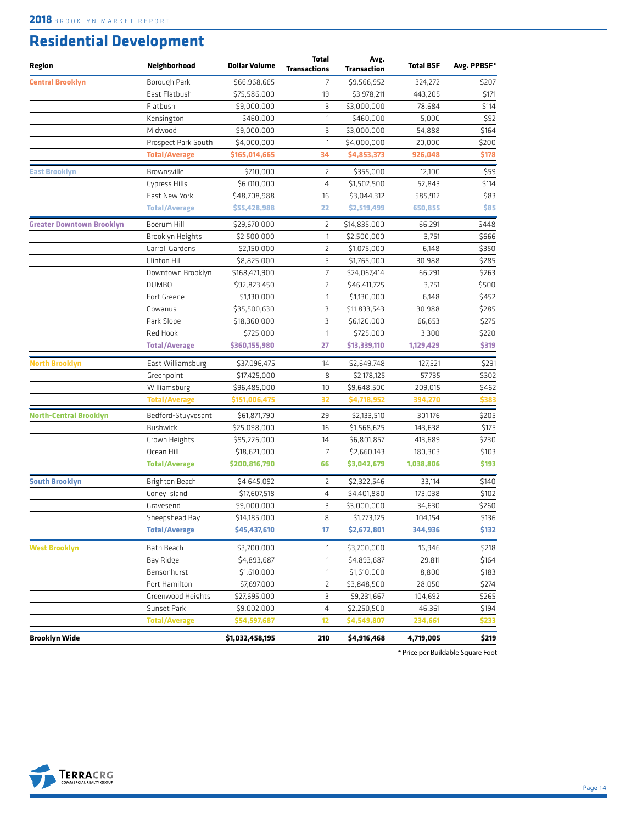#### **Residential Development**

| Region                           | Neighborhood         | <b>Dollar Volume</b> | <b>Total</b><br><b>Transactions</b> | Avg.<br>Transaction | <b>Total BSF</b> | Avg. PPBSF* |
|----------------------------------|----------------------|----------------------|-------------------------------------|---------------------|------------------|-------------|
| <b>Central Brooklyn</b>          | Borough Park         | \$66,968,665         | 7                                   | \$9,566,952         | 324,272          | \$207       |
|                                  | East Flatbush        | \$75,586,000         | 19                                  | \$3,978,211         | 443,205          | \$171       |
|                                  | Flatbush             | \$9,000,000          | 3                                   | \$3,000,000         | 78,684           | \$114       |
|                                  | Kensington           | \$460,000            | 1                                   | \$460,000           | 5,000            | \$92        |
|                                  | Midwood              | \$9,000,000          | 3                                   | \$3,000,000         | 54,888           | \$164       |
|                                  | Prospect Park South  | \$4,000,000          | $\mathbf{1}$                        | \$4,000,000         | 20,000           | \$200       |
|                                  | <b>Total/Average</b> | \$165,014,665        | 34                                  | \$4,853,373         | 926,048          | \$178       |
| East Brooklyn                    | Brownsville          | \$710,000            | 2                                   | \$355,000           | 12,100           | \$59        |
|                                  | <b>Cypress Hills</b> | \$6,010,000          | 4                                   | \$1,502,500         | 52,843           | \$114       |
|                                  | East New York        | \$48,708,988         | 16                                  | \$3,044,312         | 585,912          | \$83        |
|                                  | <b>Total/Average</b> | \$55,428,988         | 22                                  | \$2,519,499         | 650,855          | \$85        |
| <b>Greater Downtown Brooklyn</b> | Boerum Hill          | \$29,670,000         | 2                                   | \$14,835,000        | 66,291           | \$448       |
|                                  | Brooklyn Heights     | \$2,500,000          | 1                                   | \$2,500,000         | 3,751            | \$666       |
|                                  | Carroll Gardens      | \$2,150,000          | 2                                   | \$1,075,000         | 6,148            | \$350       |
|                                  | Clinton Hill         | \$8,825,000          | 5                                   | \$1,765,000         | 30,988           | \$285       |
|                                  | Downtown Brooklyn    | \$168,471,900        | 7                                   | \$24,067,414        | 66,291           | \$263       |
|                                  | <b>DUMBO</b>         | \$92,823,450         | $\overline{2}$                      | \$46,411,725        | 3,751            | \$500       |
|                                  | Fort Greene          | \$1,130,000          | 1                                   | \$1,130,000         | 6,148            | \$452       |
|                                  | Gowanus              | \$35,500,630         | 3                                   | \$11,833,543        | 30,988           | \$285       |
|                                  | Park Slope           | \$18,360,000         | 3                                   | \$6,120,000         | 66,653           | \$275       |
|                                  | Red Hook             | \$725,000            | $\mathbf{1}$                        | \$725,000           | 3,300            | \$220       |
|                                  | <b>Total/Average</b> | \$360,155,980        | 27                                  | \$13,339,110        | 1,129,429        | \$319       |
| North Brooklyn                   | East Williamsburg    | \$37,096,475         | 14                                  | \$2,649,748         | 127,521          | \$291       |
|                                  | Greenpoint           | \$17,425,000         | 8                                   | \$2,178,125         | 57,735           | \$302       |
|                                  | Williamsburg         | \$96,485,000         | 10                                  | \$9,648,500         | 209,015          | \$462       |
|                                  | <b>Total/Average</b> | \$151,006,475        | 32                                  | \$4,718,952         | 394,270          | \$383       |
| North-Central Brooklyn           | Bedford-Stuyvesant   | \$61,871,790         | 29                                  | \$2,133,510         | 301,176          | \$205       |
|                                  | <b>Bushwick</b>      | \$25,098,000         | 16                                  | \$1,568,625         | 143,638          | \$175       |
|                                  | Crown Heights        | \$95,226,000         | 14                                  | \$6,801,857         | 413,689          | \$230       |
|                                  | Ocean Hill           | \$18,621,000         | $\overline{7}$                      | \$2,660,143         | 180,303          | \$103       |
|                                  | <b>Total/Average</b> | \$200,816,790        | 66                                  | \$3,042,679         | 1,038,806        | \$193       |
| <b>South Brooklyn</b>            | Brighton Beach       | \$4,645,092          | 2                                   | \$2,322,546         | 33,114           | \$140       |
|                                  | Coney Island         | \$17,607,518         | 4                                   | \$4,401,880         | 173,038          | \$102       |
|                                  | Gravesend            | \$9,000,000          | 3                                   | \$3,000,000         | 34,630           | \$260       |
|                                  | Sheepshead Bay       | \$14,185,000         | 8                                   | \$1,773,125         | 104,154          | \$136       |
|                                  | <b>Total/Average</b> | \$45,437,610         | 17                                  | \$2,672,801         | 344,936          | \$132       |
| West Brooklyn                    | Bath Beach           | \$3,700,000          | 1                                   | \$3,700,000         | 16,946           | \$218       |
|                                  | Bay Ridge            | \$4,893,687          | $\mathbf{1}$                        | \$4,893,687         | 29,811           | \$164       |
|                                  | Bensonhurst          | \$1,610,000          | $\mathbf{1}$                        | \$1,610,000         | 8,800            | \$183       |
|                                  | Fort Hamilton        | \$7,697,000          | 2                                   | \$3,848,500         | 28,050           | \$274       |
|                                  | Greenwood Heights    | \$27,695,000         | 3                                   | \$9,231,667         | 104,692          | \$265       |
|                                  | Sunset Park          | \$9,002,000          | 4                                   | \$2,250,500         | 46,361           | \$194       |
|                                  | <b>Total/Average</b> | \$54,597,687         | 12                                  | \$4,549,807         | 234,661          | \$233       |
| Brooklyn Wide                    |                      | \$1,032,458,195      | 210                                 | \$4,916,468         | 4,719,005        | \$219       |

\* Price per Buildable Square Foot